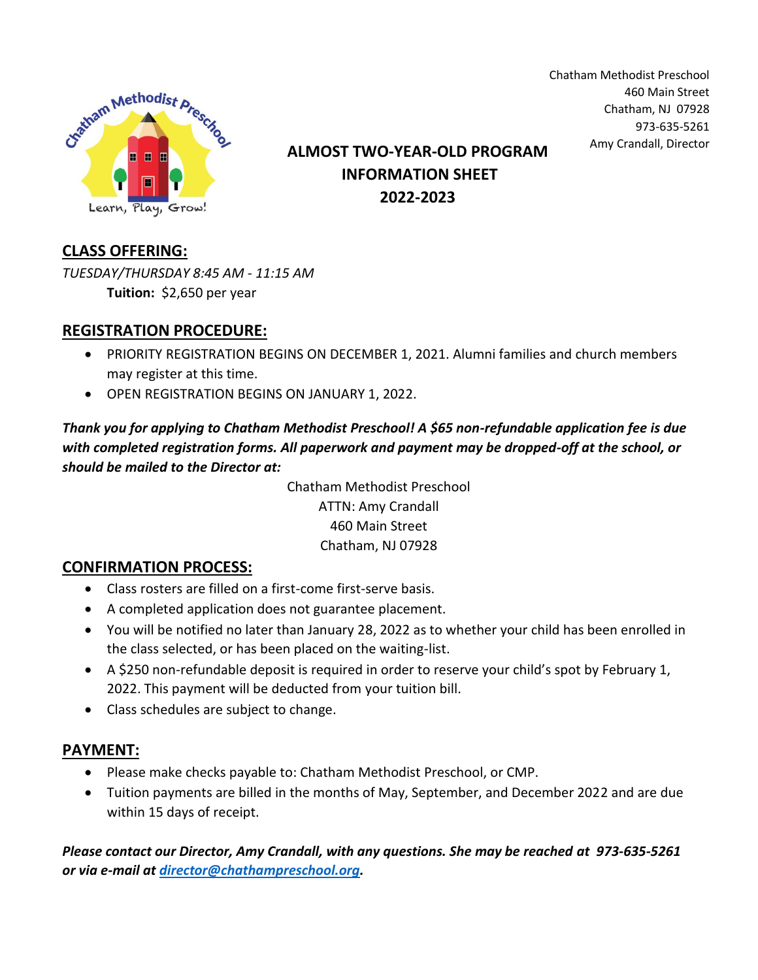

Chatham Methodist Preschool 460 Main Street Chatham, NJ 07928 973-635-5261

# Amy Crandall, Director **ALMOST TWO-YEAR-OLD PROGRAM INFORMATION SHEET 2022-2023**

## **CLASS OFFERING:**

*TUESDAY/THURSDAY 8:45 AM - 11:15 AM* **Tuition:** \$2,650 per year

### **REGISTRATION PROCEDURE:**

- PRIORITY REGISTRATION BEGINS ON DECEMBER 1, 2021. Alumni families and church members may register at this time.
- OPEN REGISTRATION BEGINS ON JANUARY 1, 2022.

*Thank you for applying to Chatham Methodist Preschool! A \$65 non-refundable application fee is due with completed registration forms. All paperwork and payment may be dropped-off at the school, or should be mailed to the Director at:*

> Chatham Methodist Preschool ATTN: Amy Crandall 460 Main Street Chatham, NJ 07928

#### **CONFIRMATION PROCESS:**

- Class rosters are filled on a first-come first-serve basis.
- A completed application does not guarantee placement.
- You will be notified no later than January 28, 2022 as to whether your child has been enrolled in the class selected, or has been placed on the waiting-list.
- A \$250 non-refundable deposit is required in order to reserve your child's spot by February 1, 2022. This payment will be deducted from your tuition bill.
- Class schedules are subject to change.

### **PAYMENT:**

- Please make checks payable to: Chatham Methodist Preschool, or CMP.
- Tuition payments are billed in the months of May, September, and December 2022 and are due within 15 days of receipt.

*Please contact our Director, Amy Crandall, with any questions. She may be reached at 973-635-5261 or via e-mail at [director@chathampreschool.org.](mailto:director@chathampreschool.org)*